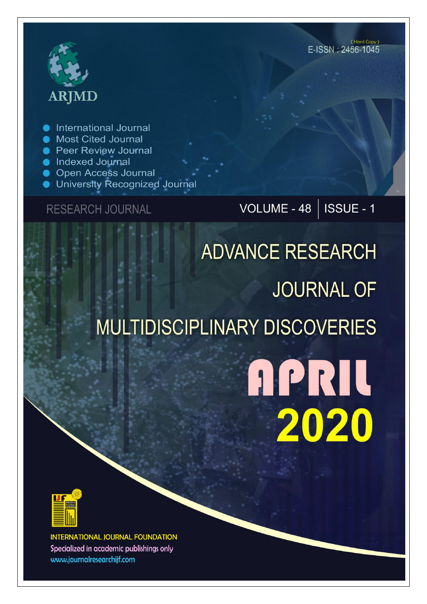# **ARJMD**

**International Journal** 

- **Most Cited Journal**
- **Peer Review Journal**
- lndexed Journal
- **Open Access Journal**
- University Recognized Journal

### **RESEARCH JOURNAL**

## VOLUME - 48 | ISSUE - 1

## **ADVANCE RESEARCH JOURNAL OF MULTIDISCIPLINARY DISCOVERIES**

## **APRIL** 2020



**INTERNATIONAL JOURNAL FOUNDATION** Specialized in academic publishings only www.journalresearchijf.com

(Hard Copy) E-ISSN: 2456-1045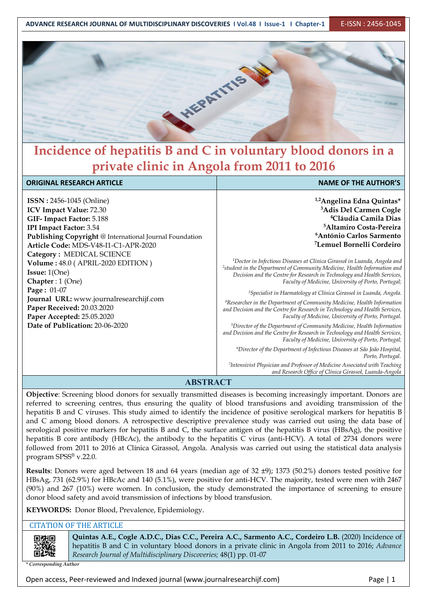

## **Incidence of hepatitis B and C in voluntary blood donors in a private clinic in Angola from 2011 to 2016**

| <b>ORIGINAL RESEARCH ARTICLE</b>                        | <b>NAME OF THE AUTHOR'S</b>                                                                                                                                                                                             |  |  |  |  |
|---------------------------------------------------------|-------------------------------------------------------------------------------------------------------------------------------------------------------------------------------------------------------------------------|--|--|--|--|
|                                                         |                                                                                                                                                                                                                         |  |  |  |  |
| <b>ISSN</b> : 2456-1045 (Online)                        | <sup>1,2</sup> Angelina Edna Quintas*                                                                                                                                                                                   |  |  |  |  |
| <b>ICV Impact Value: 72.30</b>                          | <sup>3</sup> Adis Del Carmen Cogle                                                                                                                                                                                      |  |  |  |  |
| GIF-Impact Factor: 5.188                                | <sup>4</sup> Cláudia Camila Dias                                                                                                                                                                                        |  |  |  |  |
| <b>IPI Impact Factor: 3.54</b>                          | <sup>5</sup> Altamiro Costa-Pereira                                                                                                                                                                                     |  |  |  |  |
| Publishing Copyright @ International Journal Foundation | <sup>6</sup> António Carlos Sarmento                                                                                                                                                                                    |  |  |  |  |
| Article Code: MDS-V48-I1-C1-APR-2020                    | <sup>7</sup> Lemuel Bornelli Cordeiro                                                                                                                                                                                   |  |  |  |  |
| Category: MEDICAL SCIENCE                               |                                                                                                                                                                                                                         |  |  |  |  |
| Volume: 48.0 (APRIL-2020 EDITION)                       | <sup>1</sup> Doctor in Infectious Diseases at Clínica Girassol in Luanda, Angola and                                                                                                                                    |  |  |  |  |
| <b>Issue:</b> $1(One)$                                  | <sup>2</sup> student in the Department of Community Medicine, Health Information and                                                                                                                                    |  |  |  |  |
| Chapter : $1$ (One)                                     | Decision and the Centre for Research in Technology and Health Services,<br>Faculty of Medicine, University of Porto, Portugal;                                                                                          |  |  |  |  |
| Page: 01-07                                             | <sup>3</sup> Specialist in Haematology at Clínica Girassol in Luanda, Angola.                                                                                                                                           |  |  |  |  |
| Journal URL: www.journalresearchijf.com                 | <sup>4</sup> Researcher in the Department of Community Medicine, Health Information                                                                                                                                     |  |  |  |  |
| Paper Received: 20.03.2020                              | and Decision and the Centre for Research in Technology and Health Services,                                                                                                                                             |  |  |  |  |
| Paper Accepted: 25.05.2020                              | Faculty of Medicine, University of Porto, Portugal.                                                                                                                                                                     |  |  |  |  |
| Date of Publication: 20-06-2020                         | <sup>5</sup> Director of the Department of Community Medicine, Health Information<br>and Decision and the Centre for Research in Technology and Health Services,<br>Faculty of Medicine, University of Porto, Portugal; |  |  |  |  |
|                                                         | <sup>6</sup> Director of the Department of Infectious Diseases at São João Hospital,<br>Porto, Portugal.                                                                                                                |  |  |  |  |
|                                                         | <sup>7</sup> Intensivist Physician and Professor of Medicine Associated with Teaching<br>and Research Office of Clínica Girassol, Luanda-Angola                                                                         |  |  |  |  |

#### **ABSTRACT**

**Objective**: Screening blood donors for sexually transmitted diseases is becoming increasingly important. Donors are referred to screening centres, thus ensuring the quality of blood transfusions and avoiding transmission of the hepatitis B and C viruses. This study aimed to identify the incidence of positive serological markers for hepatitis B and C among blood donors. A retrospective descriptive prevalence study was carried out using the data base of serological positive markers for hepatitis B and C, the surface antigen of the hepatitis B virus (HBsAg), the positive hepatitis B core antibody (HBcAc), the antibody to the hepatitis C virus (anti-HCV). A total of 2734 donors were followed from 2011 to 2016 at Clínica Girassol, Angola. Analysis was carried out using the statistical data analysis program SPSS ® v.22.0.

**Results**: Donors were aged between 18 and 64 years (median age of 32 ±9); 1373 (50.2%) donors tested positive for HBsAg, 731 (62.9%) for HBcAc and 140 (5.1%), were positive for anti-HCV. The majority, tested were men with 2467 (90%) and 267 (10%) were women. In conclusion, the study demonstrated the importance of screening to ensure donor blood safety and avoid transmission of infections by blood transfusion.

**KEYWORDS:** Donor Blood, Prevalence, Epidemiology.

#### CITATION OF THE ARTICLE

同类同

**Quintas A.E., Cogle A.D.C., Dias C.C., Pereira A.C., Sarmento A.C., Cordeiro L.B.** (2020) Incidence of hepatitis B and C in voluntary blood donors in a private clinic in Angola from 2011 to 2016; *Advance Research Journal ofMultidisciplinary Discoveries;* 48(1) pp. 01-07

*\* Corresponding Author*

Open access, Peer-reviewed and Indexed journal (www.journalresearchijf.com) Page |1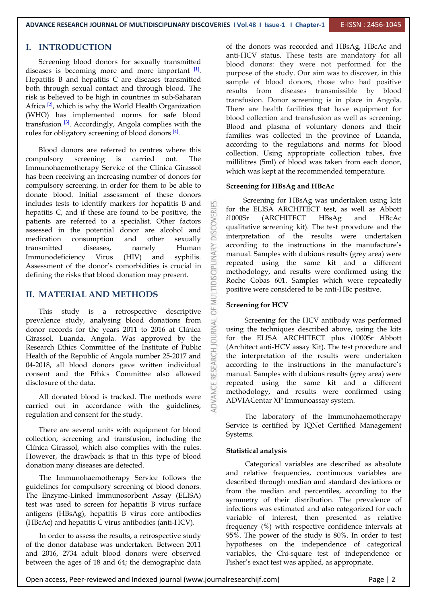#### **I. INTRODUCTION**

Screening blood donors for sexually transmitted diseases is becoming more and more important  $[1]$ . Hepatitis B and hepatitis C are diseases transmitted both through sexual contact and through blood. The risk is believed to be high in countries in sub-Saharan Africa <sup>[2]</sup>, which is why the World Health Organization There are health (WHO) has implemented norms for safe blood transfusion <sup>[3]</sup>. Accordingly, Angola complies with the **Rood** and rules for obligatory screening of blood donors  $[4]$ .

Blood donors are referred to centres where this compulsory screening is carried out. The Immunohaemotherapy Service of the Clínica Girassol has been receiving an increasing number of donors for compulsory screening, in order for them to be able to donate blood. Initial assessment of these donors includes tests to identify markers for hepatitis B and hepatitis C, and if these are found to be positive, the  $\frac{ax}{b}$  for the nucleoting contents to be positive. patients are referred to a specialist. Other factors<br>assessed in the potential donor are alcohol and<br>medication consumption and other sexually assessed in the potential donor are alcohol and medication consumption and other sexually<br>transmitted diseases, namely Human Emmunodeficiency Virus (HIV) and syphilis.<br>Assessment of the donor's comorbidities is crucial in transmitted diseases, namely Human Immunodeficiency Virus (HIV) and syphilis. Assessment of the donor's comorbidities is crucial in defining the risks that blood donation may present.

#### **II. MATERIAL AND METHODS**

This study is a retrospective descriptive  $\overleftrightarrow{\bigcirc}$ prevalence study, analysing blood donations from<br>donor records for the years 2011 to 2016 at Clínica<br>Girassol, Luanda, Angola. Was approved by the donor records for the years 2011 to 2016 at Clínica Girassol, Luanda, Angola. Was approved by the Research Ethics Committee of the Institute of Public Health of the Republic of Angola number 25-2017 and 04-2018, all blood donors gave written individual consent and the Ethics Committee also allowed disclosure of the data.

All donated blood is tracked. The methods were carried out in accordance with the guidelines, regulation and consent for the study.

There are several units with equipment for blood collection, screening and transfusion, including the Clínica Girassol, which also complies with the rules. However, the drawback is that in this type of blood donation many diseases are detected.

The Immunohaemotherapy Service follows the guidelines for compulsory screening of blood donors. The Enzyme-Linked Immunosorbent Assay (ELISA) test was used to screen for hepatitis B virus surface antigens (HBsAg), hepatitis B virus core antibodies (HBcAc) and hepatitis C virus antibodies (anti-HCV).

In order to assess the results, a retrospective study of the donor database was undertaken. Between 2011 and 2016, 2734 adult blood donors were observed between the ages of 18 and 64; the demographic data

of the donors was recorded and HBsAg, HBcAc and anti-HCV status. These tests are mandatory for all blood donors: they were not performed for the purpose of the study. Our aim was to discover, in this sample of blood donors, those who had positive results from diseases transmissible by blood transfusion. Donor screening is in place in Angola. There are health facilities that have equipment for blood collection and transfusion as well as screening. Blood and plasma of voluntary donors and their families was collected in the province of Luanda, according to the regulations and norms for blood collection. Using appropriate collection tubes, five millilitres (5ml) of blood was taken from each donor, which was kept at the recommended temperature.

#### **Screening for HBsAg and HBcAc**

Screening for HBsAg was undertaken using kits for the ELISA ARCHITECT test, as well as Abbott *i*1000Sr (ARCHITECT HBsAg and HBcAc qualitative screening kit). The test procedure and the interpretation of the results were undertaken according to the instructions in the manufacture's manual. Samples with dubious results (grey area) were repeated using the same kit and a different methodology, and results were confirmed using the Roche Cobas 601. Samples which were repeatedly positive were considered to be anti-HBc positive.

#### **Screening for HCV**

Screening for the HCV antibody was performed using the techniques described above, using the kits for the ELISA ARCHITECT plus *i*1000Sr Abbott (Architect anti-HCV assay Kit). The test procedure and the interpretation of the results were undertaken according to the instructions in the manufacture's manual. Samples with dubious results (grey area) were repeated using the same kit and a different methodology, and results were confirmed using ADVIACentar XP Immunoassay system.

The laboratory of the Immunohaemotherapy Service is certified by IQNet Certified Management Systems.

#### **Statistical analysis**

Categorical variables are described as absolute and relative frequencies, continuous variables are described through median and standard deviations or from the median and percentiles, according to the symmetry of their distribution. The prevalence of infections was estimated and also categorized for each variable of interest, then presented as relative frequency (%) with respective confidence intervals at 95%. The power of the study is 80%. In order to test hypotheses on the independence of categorical variables, the Chi-square test of independence or Fisher's exact test was applied, as appropriate.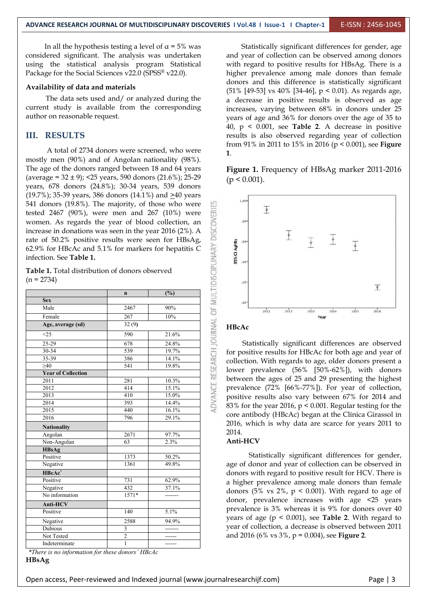In all the hypothesis testing a level of  $\alpha = 5\%$  was considered significant. The analysis was undertaken using the statistical analysis program Statistical Package for the Social Sciences v22.0 (SPSS® v22.0). hi

#### **Availability of data and materials**

The data sets used and/ or analyzed during the current study is available from the corresponding author on reasonable request.

#### **III. RESULTS**

A total of 2734 donors were screened, who were mostly men (90%) and of Angolan nationality (98%). The age of the donors ranged between 18 and 64 years (average =  $32 \pm 9$ ); < $25 \text{ years}$ , 590 donors (21.6%); 25-29 years, 678 donors (24.8%); 30-34 years, 539 donors  $(19.7\%)$ ; 35-39 years, 386 donors  $(14.1\%)$  and  $\geq 40$  years 541 donors (19.8%). The majority, of those who were  $\frac{15}{25}$ women. As regards the year of blood collection, an increase in donations was seen in the year 2016 (2%). A  $\frac{66}{9}$ rate of 50.2% positive results were seen for HBsAg,  $\frac{6}{5}$ <br>62.9% for HBcAc and 5.1% for markers for hepatitis C<br>infection. See **Table 1.** 62.9% for HBcAc and 5.1% for markers for hepatitis C infection. See **Table 1.**

| tested $2467$ (90%), were men and $267$ (10%) were<br>women. As regards the year of blood collection, an<br>increase in donations was seen in the year 2016 (2%). A<br>rate of 50.2% positive results were seen for HBsAg,<br>62.9% for HBcAc and 5.1% for markers for hepatitis C<br>infection. See Table 1.<br>Table 1. Total distribution of donors observed |                |               | <b>DISCOVER</b><br>ADVANCE RESEARCH JOURNAL OF MULTIDISCIPLINARY | $,80-$<br>95% CI AgHBs<br>$.60 -$<br>$,40-$ | $\mathbb{L}$                                      | $\overline{\mathbb{L}}$ | $\overline{\phantom{a}}$ | $\frac{1}{\sqrt{2}}$ |      |                                                              |  |
|-----------------------------------------------------------------------------------------------------------------------------------------------------------------------------------------------------------------------------------------------------------------------------------------------------------------------------------------------------------------|----------------|---------------|------------------------------------------------------------------|---------------------------------------------|---------------------------------------------------|-------------------------|--------------------------|----------------------|------|--------------------------------------------------------------|--|
| $(n = 2734)$                                                                                                                                                                                                                                                                                                                                                    |                |               |                                                                  | $,20-$                                      |                                                   |                         |                          |                      |      | 重                                                            |  |
|                                                                                                                                                                                                                                                                                                                                                                 | $\mathbf n$    | (%)           |                                                                  |                                             |                                                   |                         |                          |                      |      |                                                              |  |
| <b>Sex</b>                                                                                                                                                                                                                                                                                                                                                      |                |               |                                                                  | $.00 -$                                     |                                                   |                         |                          |                      |      |                                                              |  |
| Male                                                                                                                                                                                                                                                                                                                                                            | 2467           | 90%           |                                                                  |                                             | 2011                                              | 2012                    | 2013                     | 2014                 | 2015 | 2016                                                         |  |
| Female                                                                                                                                                                                                                                                                                                                                                          | 267            | 10%           |                                                                  |                                             |                                                   |                         |                          | Year                 |      |                                                              |  |
| Age, average (sd)                                                                                                                                                                                                                                                                                                                                               | 32(9)          |               |                                                                  | HBcAc                                       |                                                   |                         |                          |                      |      |                                                              |  |
| $\leq$ 25                                                                                                                                                                                                                                                                                                                                                       | 590            | 21.6%         |                                                                  |                                             |                                                   |                         |                          |                      |      |                                                              |  |
| $25 - 29$                                                                                                                                                                                                                                                                                                                                                       | 678            | 24.8%         |                                                                  |                                             |                                                   |                         |                          |                      |      | Statistically significant differences are observed           |  |
| $30 - 34$                                                                                                                                                                                                                                                                                                                                                       | 539            | 19.7%         |                                                                  |                                             |                                                   |                         |                          |                      |      | for positive results for HBcAc for both age and year of      |  |
| 35-39                                                                                                                                                                                                                                                                                                                                                           | 386            | 14.1%         |                                                                  |                                             |                                                   |                         |                          |                      |      | collection. With regards to age, older donors present a      |  |
| $\geq 40$                                                                                                                                                                                                                                                                                                                                                       | 541            | 19.8%         |                                                                  |                                             |                                                   |                         |                          |                      |      |                                                              |  |
| <b>Year of Collection</b>                                                                                                                                                                                                                                                                                                                                       |                |               |                                                                  |                                             |                                                   |                         |                          |                      |      | lower prevalence (56% [50%-62%]), with donors                |  |
| 2011                                                                                                                                                                                                                                                                                                                                                            | 281            | 10.3%         |                                                                  |                                             |                                                   |                         |                          |                      |      | between the ages of 25 and 29 presenting the highest         |  |
| 2012                                                                                                                                                                                                                                                                                                                                                            | 414            | 15.1%         |                                                                  |                                             |                                                   |                         |                          |                      |      | prevalence (72% [66%-77%]). For year of collection,          |  |
| 2013                                                                                                                                                                                                                                                                                                                                                            | 410            | 15.0%         |                                                                  |                                             |                                                   |                         |                          |                      |      | positive results also vary between 67% for 2014 and          |  |
| 2014                                                                                                                                                                                                                                                                                                                                                            | 393            | 14.4%         |                                                                  |                                             |                                                   |                         |                          |                      |      | 83% for the year 2016, $p < 0.001$ . Regular testing for the |  |
| 2015                                                                                                                                                                                                                                                                                                                                                            | 440            | 16.1%         |                                                                  |                                             |                                                   |                         |                          |                      |      |                                                              |  |
| 2016                                                                                                                                                                                                                                                                                                                                                            | 796            | 29.1%         |                                                                  |                                             |                                                   |                         |                          |                      |      | core antibody (HBcAc) began at the Clínica Girassol in       |  |
| <b>Nationality</b>                                                                                                                                                                                                                                                                                                                                              |                |               |                                                                  |                                             |                                                   |                         |                          |                      |      | 2016, which is why data are scarce for years 2011 to         |  |
| Angolan                                                                                                                                                                                                                                                                                                                                                         | 2671           | 97.7%         |                                                                  | 2014.                                       |                                                   |                         |                          |                      |      |                                                              |  |
| Non-Angolan                                                                                                                                                                                                                                                                                                                                                     | 63             | 2.3%          |                                                                  | Anti-HCV                                    |                                                   |                         |                          |                      |      |                                                              |  |
| <b>HBsAg</b>                                                                                                                                                                                                                                                                                                                                                    |                |               |                                                                  |                                             |                                                   |                         |                          |                      |      |                                                              |  |
| Positive                                                                                                                                                                                                                                                                                                                                                        | 1373           | 50.2%         |                                                                  |                                             |                                                   |                         |                          |                      |      | Statistically significant differences for gender,            |  |
| Negative                                                                                                                                                                                                                                                                                                                                                        | 1361           | 49.8%         |                                                                  |                                             |                                                   |                         |                          |                      |      | age of donor and year of collection can be observed in       |  |
| HBcAc*                                                                                                                                                                                                                                                                                                                                                          |                |               |                                                                  |                                             |                                                   |                         |                          |                      |      | donors with regard to positive result for HCV. There is      |  |
| Positive                                                                                                                                                                                                                                                                                                                                                        | 731            | 62.9%         |                                                                  |                                             |                                                   |                         |                          |                      |      | a higher prevalence among male donors than female            |  |
| Negative                                                                                                                                                                                                                                                                                                                                                        | 432            | 37.1%         |                                                                  |                                             |                                                   |                         |                          |                      |      |                                                              |  |
| No information                                                                                                                                                                                                                                                                                                                                                  | $1571*$        | -------       |                                                                  |                                             |                                                   |                         |                          |                      |      | donors (5% vs $2\%$ , p < 0.001). With regard to age of      |  |
| Anti-HCV                                                                                                                                                                                                                                                                                                                                                        |                |               |                                                                  |                                             |                                                   |                         |                          |                      |      | donor, prevalence increases with age <25 years               |  |
| Positive                                                                                                                                                                                                                                                                                                                                                        | 140            | 5.1%          |                                                                  |                                             |                                                   |                         |                          |                      |      | prevalence is 3% whereas it is 9% for donors over 40         |  |
| Negative                                                                                                                                                                                                                                                                                                                                                        | 2588           | 94.9%         |                                                                  |                                             |                                                   |                         |                          |                      |      | years of age ( $p < 0.001$ ), see Table 2. With regard to    |  |
| Dubious                                                                                                                                                                                                                                                                                                                                                         | 3              | -------       |                                                                  |                                             |                                                   |                         |                          |                      |      | year of collection, a decrease is observed between 2011      |  |
| Not Tested                                                                                                                                                                                                                                                                                                                                                      | $\overline{2}$ | $- - - - - -$ |                                                                  |                                             | and 2016 (6% vs $3\%$ , p = 0.004), see Figure 2. |                         |                          |                      |      |                                                              |  |
| Indeterminate                                                                                                                                                                                                                                                                                                                                                   | $\mathbf{1}$   | $- - - - - -$ |                                                                  |                                             |                                                   |                         |                          |                      |      |                                                              |  |
|                                                                                                                                                                                                                                                                                                                                                                 |                |               |                                                                  |                                             |                                                   |                         |                          |                      |      |                                                              |  |

*\*There is no information for these donors' HBcAc* **HBsAg**

Statistically significant differences for gender, age and year of collection can be observed among donors with regard to positive results for HBsAg. There is a higher prevalence among male donors than female donors and this difference is statistically significant (51% [49-53] vs 40% [34-46], p< 0.01). As regards age, a decrease in positive results is observed as age increases, varying between 68% in donors under 25 years of age and 36% for donors over the age of 35 to 40, p < 0.001, see **Table 2**. A decrease in positive results is also observed regarding year of collection from 91% in 2011 to 15% in 2016 (p < 0.001), see **Figure 1**.

**Figure 1.** Frequency of HBsAg marker 2011-2016  $(p < 0.001)$ .



#### **HBcAc**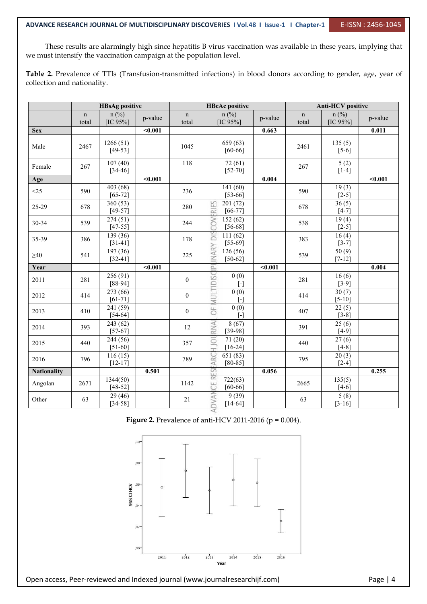These results are alarmingly high since hepatitis B virus vaccination was available in these years, implying that we must intensify the vaccination campaign at the population level.

Table 2. Prevalence of TTIs (Transfusion-transmitted infections) in blood donors according to gender, age, year of collection and nationality.

|                    | <b>HBsAg positive</b> |                         |         |                      | <b>HBcAc</b> positive                              |         | <b>Anti-HCV</b> positive |                        |         |  |
|--------------------|-----------------------|-------------------------|---------|----------------------|----------------------------------------------------|---------|--------------------------|------------------------|---------|--|
|                    | $\mathbf n$<br>total  | $n$ (%)<br>$[IC 95\%]$  | p-value | $\mathbf n$<br>total | $n$ (%)<br>$[IC 95\%]$                             | p-value | $\mathbf n$<br>total     | $n$ (%)<br>$[IC 95\%]$ | p-value |  |
| <b>Sex</b>         |                       |                         | $0.001$ |                      |                                                    | 0.663   |                          |                        | 0.011   |  |
| Male               | 2467                  | 1266(51)<br>$[49-53]$   |         | 1045                 | 659 (63)<br>$[60-66]$                              |         | 2461                     | 135(5)<br>$[5-6]$      |         |  |
| Female             | 267                   | 107(40)<br>$[34 - 46]$  |         | 118                  | 72(61)<br>$[52 - 70]$                              |         | 267                      | 5(2)<br>$[1-4]$        |         |  |
| Age                |                       |                         | $0.001$ |                      |                                                    | 0.004   |                          |                        | $0.001$ |  |
| $<$ 25             | 590                   | 403 (68)<br>$[65 - 72]$ |         | 236                  | 141(60)<br>$[53-66]$                               |         | 590                      | 19(3)<br>$[2-5]$       |         |  |
| 25-29              | 678                   | 360(53)<br>$[49-57]$    |         | 280                  | 53<br>201(72)<br>$\overline{\approx}$<br>$[66-77]$ |         | 678                      | 36(5)<br>$[4-7]$       |         |  |
| 30-34              | 539                   | 274(51)<br>$[47 - 55]$  |         | 244                  | 152(62)<br>COV<br>$[56-68]$                        |         | 538                      | 19(4)<br>$[2-5]$       |         |  |
| 35-39              | 386                   | 139 (36)<br>$[31-41]$   |         | 178                  | ăp<br>111(62)<br>$[55-69]$<br>$\geq$               |         | 383                      | 16(4)<br>$[3-7]$       |         |  |
| $\geq 40$          | 541                   | 197 (36)<br>$[32-41]$   |         | 225                  | <b>INAR</b><br>126(56)<br>$[50-62]$                |         | 539                      | 50(9)<br>$[7-12]$      |         |  |
| Year               |                       |                         | $0.001$ |                      | $\overline{P}$                                     | $0.001$ |                          |                        | 0.004   |  |
| 2011               | 281                   | 256 (91)<br>$[88-94]$   |         | $\boldsymbol{0}$     | DISC<br>0(0)<br>$[ - ]$                            |         | 281                      | 16(6)<br>$[3-9]$       |         |  |
| 2012               | 414                   | 273 (66)<br>$[61 - 71]$ |         | $\boldsymbol{0}$     | 0(0)<br>NULT<br>Ĺ.                                 |         | 414                      | 30(7)<br>$[5-10]$      |         |  |
| 2013               | 410                   | 241 (59)<br>$[54-64]$   |         | $\boldsymbol{0}$     | 0(0)<br>5F<br>$\lceil - \rceil$                    |         | 407                      | 22(5)<br>$[3-8]$       |         |  |
| 2014               | 393                   | 243 (62)<br>$[57-67]$   |         | 12                   | RNA<br>8(67)<br>$[39-98]$                          |         | 391                      | 25(6)<br>$[4-9]$       |         |  |
| 2015               | 440                   | 244(56)<br>$[51-60]$    |         | 357                  | H JOU<br>71(20)<br>$[16-24]$                       |         | 440                      | 27(6)<br>$[4-8]$       |         |  |
| 2016               | 796                   | 116(15)<br>$[12 - 17]$  |         | 789                  | EARC<br>651(83)<br>$[80-85]$                       |         | 795                      | 20(3)<br>$[2-4]$       |         |  |
| <b>Nationality</b> |                       |                         | 0.501   |                      | ESI                                                | 0.056   |                          |                        | 0.255   |  |
| Angolan            | 2671                  | 1344(50)<br>$[48-52]$   |         | 1142                 | $\overline{\alpha}$<br>722(63)<br>U<br>$[60 - 66]$ |         | 2665                     | 135(5)<br>$[4-6]$      |         |  |
| Other              | 63                    | 29 (46)<br>$[34 - 58]$  |         | $21\,$               | <b>DVAN</b><br>9(39)<br>$[14-64]$                  |         | 63                       | 5(8)<br>$[3-16]$       |         |  |

**Figure 2.** Prevalence of anti-HCV 2011-2016 ( $p = 0.004$ ).

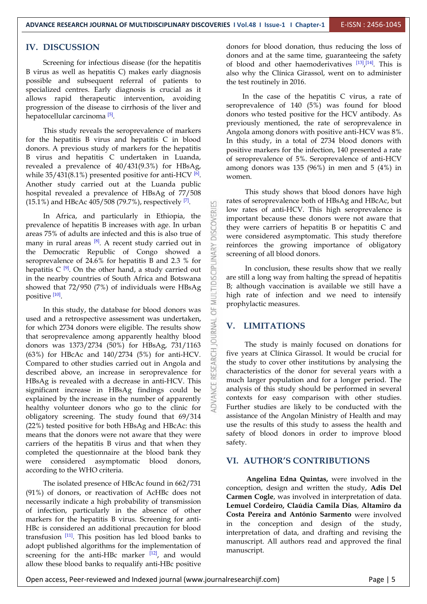#### **IV. DISCUSSION**

Screening for infectious disease (for the hepatitis B virus as well as hepatitis C) makes early diagnosis possible and subsequent referral of patients to specialized centres. Early diagnosis is crucial as it allows rapid therapeutic intervention, avoiding progression of the disease to cirrhosis of the liver and hepatocellular carcinoma <sup>[5]</sup>.

This study reveals the seroprevalence of markers for the hepatitis B virus and hepatitis C in blood donors. A previous study of markers for the hepatitis B virus and hepatitis C undertaken in Luanda, revealed a prevalence of 40/431(9.3%) for HBsAg, while  $35/431(8.1%)$  presented positive for anti-HCV  $^{[6]}$ . Another study carried out at the Luanda public hospital revealed a prevalence of HBsAg of 77/508  $(15.1\%)$  and HBcAc 405/508 (79.7%), respectively <sup>[7]</sup>.  $\qquad \qquad \Box$  rates of sequence

In Africa, and particularly in Ethiopia, the salence of hepatitis B increases with age. In urban 75% of adults are infected and this is also true of prevalence of hepatitis B increases with age. In urban areas 75% of adults are infected and this is also true of many in rural areas  $\frac{8}{18}$ . A recent study carried out in  $\frac{1}{\epsilon}$  reinforces the many in rural areas <sup>10</sup>. A recent study carried out in<br>the Democratic Republic of Congo showed a<br>seroprevalence of 24.6% for hepatitis B and 2.3 % for<br>hepatitis C <sup>[9]</sup>. On the other hand, a study carried out<br>in the near seroprevalence of 24.6% for hepatitis B and 2.3 % for hepatitis C  $[9]$ . On the other hand, a study carried out in the nearby countries of South Africa and Botswana showed that 72/950 (7%) of individuals were HBsAg positive <sup>[10]</sup>.

In this study, the database for blood donors was used and a retrospective assessment was undertaken,<br>for which 2734 donors were eligible. The results show<br>that seroprevalence among apparently healthy blood for which 2734 donors were eligible. The results show that seroprevalence among apparently healthy blood donors was 1373/2734 (50%) for HBsAg, 731/1163 (63%) for HBcAc and 140/2734 (5%) for anti-HCV. Compared to other studies carried out in Angola and described above, an increase in seroprevalence for HBsAg is revealed with a decrease in anti-HCV. This significant increase in HBsAg findings could be explained by the increase in the number of apparently healthy volunteer donors who go to the clinic for obligatory screening. The study found that 69/314 (22%) tested positive for both HBsAg and HBcAc: this means that the donors were not aware that they were carriers of the hepatitis B virus and that when they completed the questionnaire at the blood bank they were considered asymptomatic blood donors, according to the WHO criteria.

The isolated presence of HBcAc found in 662/731 (91%) of donors, or reactivation of AcHBc does not necessarily indicate a high probability of transmission of infection, particularly in the absence of other markers for the hepatitis B virus. Screening for anti- HBc is considered an additional precaution for blood transfusion  $\begin{bmatrix} 11 \end{bmatrix}$ . This position has led blood banks to manuscript Al adopt published algorithms for the implementation of screening for the anti-HBc marker  $[12]$ , and would allow these blood banks to requalify anti-HBc positive

donors for blood donation, thus reducing the loss of donors and at the same time, guaranteeing the safety of blood and other haemoderivatives  $[13]$ ,  $[14]$ . This is also why the Clínica Girassol, went on to administer the test routinely in 2016.

In the case of the hepatitis C virus, a rate of seroprevalence of 140 (5%) was found for blood donors who tested positive for the HCV antibody. As previously mentioned, the rate of seroprevalence in Angola among donors with positive anti-HCV was 8%. In this study, in a total of 2734 blood donors with positive markers for the infection, 140 presented a rate of seroprevalence of 5%. Seroprevalence of anti-HCV among donors was 135 (96%) in men and 5 (4%) in women.

This study shows that blood donors have high rates of seroprevalence both of HBsAg and HBcAc, but low rates of anti-HCV. This high seroprevalence is important because these donors were not aware that they were carriers of hepatitis B or hepatitis C and were considered asymptomatic. This study therefore reinforces the growing importance of obligatory screening of all blood donors.

In conclusion, these results show that we really are still a long way from halting the spread of hepatitis B; although vaccination is available we still have a high rate of infection and we need to intensify prophylactic measures.

#### **V. LIMITATIONS**

The study is mainly focused on donations for five years at Clínica Girassol. It would be crucial for the study to cover other institutions by analysing the characteristics of the donor for several years with a much larger population and for a longer period. The analysis of this study should be performed in several contexts for easy comparison with other studies. Further studies are likely to be conducted with the assistance of the Angolan Ministry of Health and may use the results of this study to assess the health and safety of blood donors in order to improve blood safety.

#### **VI. AUTHOR'S CONTRIBUTIONS**

**Angelina Edna Quintas,** were involved in the conception, design and written thestudy, **Adis Del Carmen Cogle**, was involved in interpretation of data. **Lemuel Cordeiro, Claúdia Camila Dias**, **Altamiro da Costa Pereira and António Sarmento** were involved in the conception and design of the study, interpretation of data, and drafting and revising the manuscript. All authors read and approved the final manuscript.

Open access, Peer-reviewed and Indexed journal (www.journalresearchijf.com) Page |5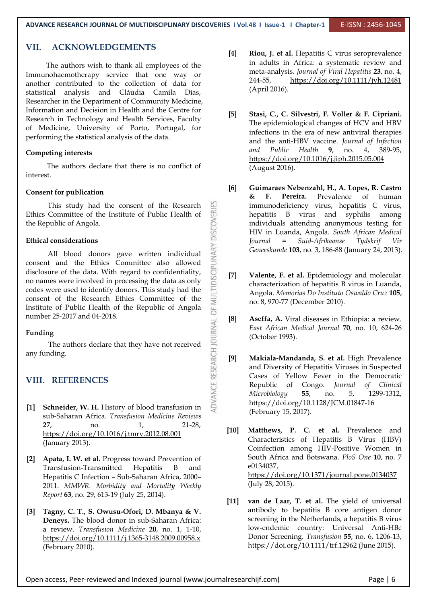### **VII. ACKNOWLEDGEMENTS**

The authors wish to thank all employees of the Immunohaemotherapy service that one way or meta-an another contributed to the collection of data for statistical analysis and Cláudia Camila Dias, Researcher in the Department of Community Medicine, Information and Decision in Health and the Centre for Research in Technology and Health Services, Faculty of Medicine, University of Porto, Portugal, for performing the statistical analysis of the data.

#### **Competing interests**

The authors declare that there is no conflict of interest.

#### **Consent for publication**

Ethics Committee of the Institute of Public Health of the Republic of Angola.

#### **Ethical considerations**

This study had the consent of the Research<br>
Committee of the Institute of Public Health of<br>
public of Angola.<br> **1 considerations**<br>
All blood donors gave written individual<br>
at and the Ethics Committee also allowed<br>
uure o All blood donors gave written individual consent and the Ethics Committee also allowed disclosure of the data. With regard to confidentiality,  $\overline{Q}$  [7] no names were involved in processing the data as only codes were used to identify donors. This study had the consent of the Research Ethics Committee of the Institute of Public Health of the Republic of Angola number 25-2017 and 04-2018.

#### **Funding**

The authors declare that they have not received<br>nding.<br>**REFERENCES**<br>**REFERENCES**<br>**Chneider, W. H.** History of blood transfusion in any funding.

#### **VIII. REFERENCES**

- **[1] Schneider, W. H.** History of blood transfusion in sub-Saharan Africa. *Transfusion Medicine Reviews* **27**, no. 1, 21-28, <https://doi.org/10.1016/j.tmrv.2012.08.001> [10] (January 2013).
- **[2] Apata, I. W. et al.** Progress toward Prevention of Transfusion-Transmitted Hepatitis B and Hepatitis C Infection – Sub-Saharan Africa, 2000– 2011. *MMWR. Morbidity and Mortality Weekly Report* **63**, no. 29, 613-19 (July 25, 2014).
- **[3] Tagny, C. T., S. Owusu-Ofori, D. Mbanya & V. Deneys.** The blood donor in sub-Saharan Africa: a review. *Transfusion Medicine* **20**, no. 1, 1-10, <https://doi.org/10.1111/j.1365-3148.2009.00958.x> (February 2010).
- **[4] Riou, J. et al.** Hepatitis C virus seroprevalence in adults in Africa: a systematic review and meta-analysis. *Journal of Viral Hepatitis* **23**, no. 4, 244-55, <https://doi.org/10.1111/jvh.12481> (April 2016).
- **[5] Stasi, C., C. Silvestri, F. Voller & F. Cipriani.** The epidemiological changes of HCV and HBV infections in the era of new antiviral therapies and the anti-HBV vaccine. *Journal of Infection and Public Health* **9**, no. 4, 389-95, <https://doi.org/10.1016/j.jiph.2015.05.004> (August 2016).
- **[6] Guimaraes Nebenzahl, H., A. Lopes, R. Castro & F. Pereira.** Prevalence of human immunodeficiency virus, hepatitis C virus, hepatitis B virus and syphilis among individuals attending anonymous testing for HIV in Luanda, Angola. *South African Medical Journal = Suid-Afrikaanse Tydskrif Vir Geneeskunde* **103**, no. 3, 186-88 (January 24, 2013).
- **[7] Valente, F. et al.** Epidemiology and molecular characterization of hepatitis B virus in Luanda, Angola. *Memorias Do Instituto Oswaldo Cruz* **105**, no. 8, 970-77 (December 2010).
- **[8] Aseffa, A.** Viral diseases in Ethiopia: a review. *East African Medical Journal* **70**, no. 10, 624-26 (October 1993).
- **[9] Makiala-Mandanda, S. et al.** High Prevalence and Diversity of Hepatitis Viruses in Suspected Cases of Yellow Fever in the Democratic Republic of Congo. *Journal of Clinical Microbiology* **55**, no. 5, 1299-1312, https://doi.org/10.1128/JCM.01847-16 (February 15, 2017).
- **[10] Matthews, P. C. et al.** Prevalence and Characteristics of Hepatitis B Virus (HBV) Coinfection among HIV-Positive Women in South Africa and Botswana. *PloS One* **10**, no. 7 e0134037, <https://doi.org/10.1371/journal.pone.0134037> (July 28, 2015).
- **[11] van de Laar, T. et al.** The yield of universal antibody to hepatitis B core antigen donor screening in the Netherlands, a hepatitis B virus low-endemic country: Universal Anti-HBc Donor Screening. *Transfusion* **55**, no. 6, 1206-13, https://doi.org/10.1111/trf.12962 (June 2015).